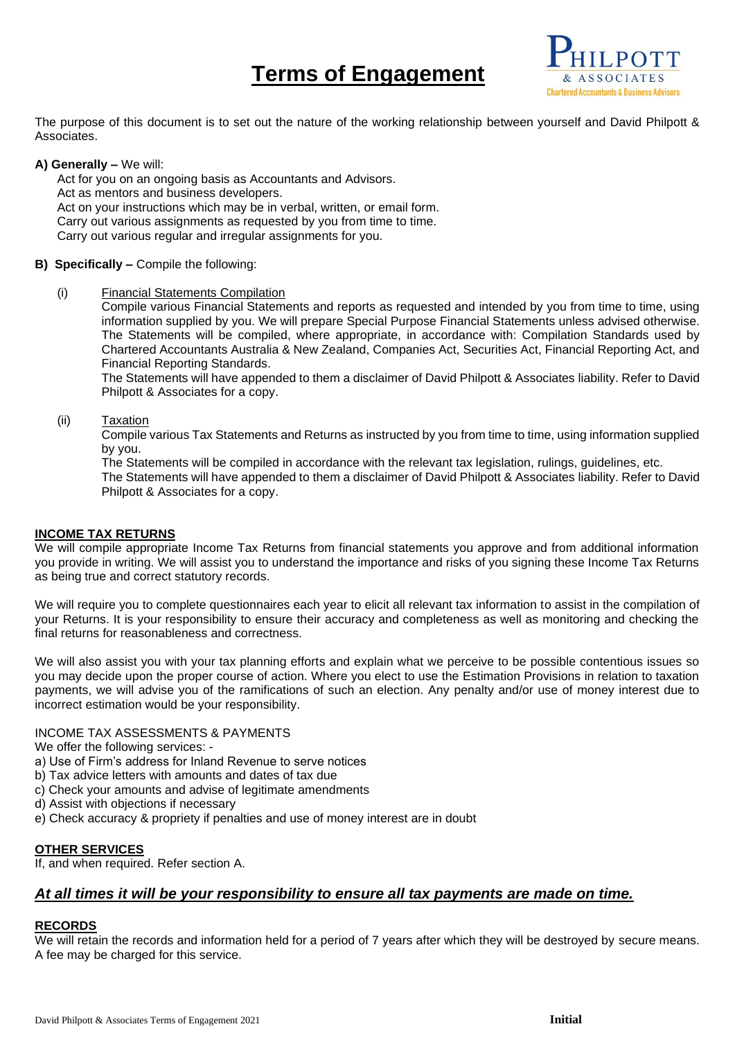# **Terms of Engagement**



The purpose of this document is to set out the nature of the working relationship between yourself and David Philpott & Associates.

## **A) Generally –** We will:

Act for you on an ongoing basis as Accountants and Advisors. Act as mentors and business developers. Act on your instructions which may be in verbal, written, or email form. Carry out various assignments as requested by you from time to time. Carry out various regular and irregular assignments for you.

# **B) Specifically –** Compile the following:

(i) Financial Statements Compilation

Compile various Financial Statements and reports as requested and intended by you from time to time, using information supplied by you. We will prepare Special Purpose Financial Statements unless advised otherwise. The Statements will be compiled, where appropriate, in accordance with: Compilation Standards used by Chartered Accountants Australia & New Zealand, Companies Act, Securities Act, Financial Reporting Act, and Financial Reporting Standards.

The Statements will have appended to them a disclaimer of David Philpott & Associates liability. Refer to David Philpott & Associates for a copy.

# (ii) Taxation

Compile various Tax Statements and Returns as instructed by you from time to time, using information supplied by you.

The Statements will be compiled in accordance with the relevant tax legislation, rulings, guidelines, etc.

The Statements will have appended to them a disclaimer of David Philpott & Associates liability. Refer to David Philpott & Associates for a copy.

### **INCOME TAX RETURNS**

We will compile appropriate Income Tax Returns from financial statements you approve and from additional information you provide in writing. We will assist you to understand the importance and risks of you signing these Income Tax Returns as being true and correct statutory records.

We will require you to complete questionnaires each year to elicit all relevant tax information to assist in the compilation of your Returns. It is your responsibility to ensure their accuracy and completeness as well as monitoring and checking the final returns for reasonableness and correctness.

We will also assist you with your tax planning efforts and explain what we perceive to be possible contentious issues so you may decide upon the proper course of action. Where you elect to use the Estimation Provisions in relation to taxation payments, we will advise you of the ramifications of such an election. Any penalty and/or use of money interest due to incorrect estimation would be your responsibility.

### INCOME TAX ASSESSMENTS & PAYMENTS

We offer the following services: -

- a) Use of Firm's address for Inland Revenue to serve notices
- b) Tax advice letters with amounts and dates of tax due
- c) Check your amounts and advise of legitimate amendments
- d) Assist with objections if necessary
- e) Check accuracy & propriety if penalties and use of money interest are in doubt

# **OTHER SERVICES**

If, and when required. Refer section A.

# *At all times it will be your responsibility to ensure all tax payments are made on time.*

# **RECORDS**

We will retain the records and information held for a period of 7 years after which they will be destroyed by secure means. A fee may be charged for this service.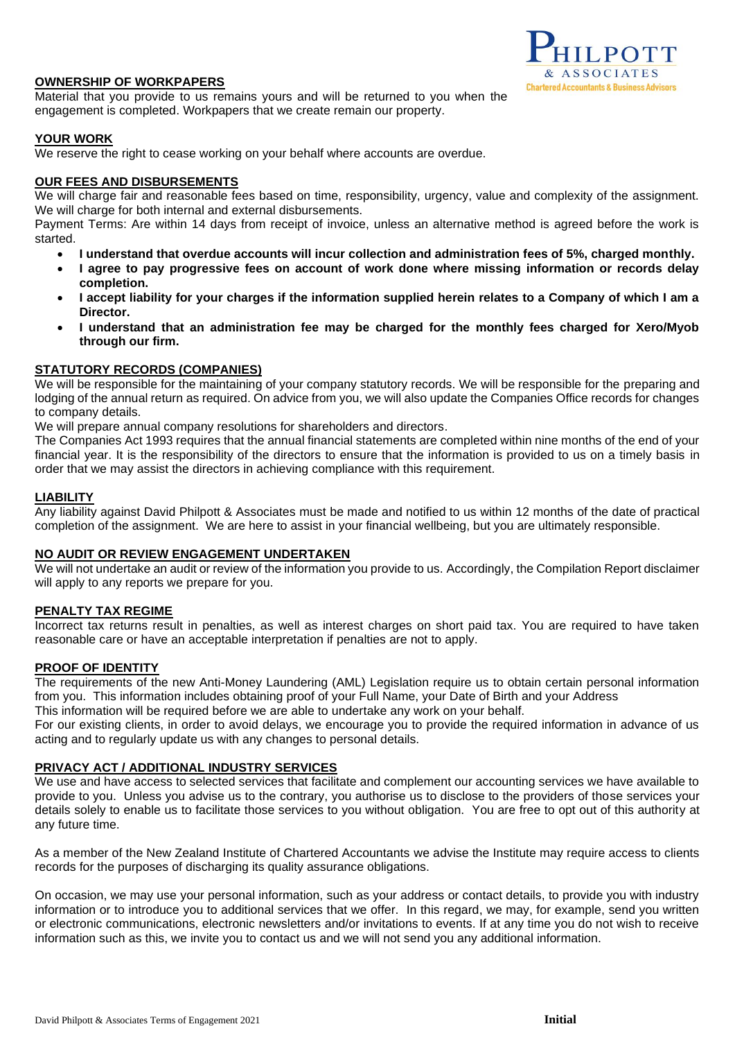# **OWNERSHIP OF WORKPAPERS**

Material that you provide to us remains yours and will be returned to you when the engagement is completed. Workpapers that we create remain our property.

# **YOUR WORK**

We reserve the right to cease working on your behalf where accounts are overdue.

## **OUR FEES AND DISBURSEMENTS**

We will charge fair and reasonable fees based on time, responsibility, urgency, value and complexity of the assignment. We will charge for both internal and external disbursements.

Payment Terms: Are within 14 days from receipt of invoice, unless an alternative method is agreed before the work is started.

- **I understand that overdue accounts will incur collection and administration fees of 5%, charged monthly.**
- **I agree to pay progressive fees on account of work done where missing information or records delay completion.**
- **I accept liability for your charges if the information supplied herein relates to a Company of which I am a Director.**
- **I understand that an administration fee may be charged for the monthly fees charged for Xero/Myob through our firm.**

# **STATUTORY RECORDS (COMPANIES)**

We will be responsible for the maintaining of your company statutory records. We will be responsible for the preparing and lodging of the annual return as required. On advice from you, we will also update the Companies Office records for changes to company details.

We will prepare annual company resolutions for shareholders and directors.

The Companies Act 1993 requires that the annual financial statements are completed within nine months of the end of your financial year. It is the responsibility of the directors to ensure that the information is provided to us on a timely basis in order that we may assist the directors in achieving compliance with this requirement.

### **LIABILITY**

Any liability against David Philpott & Associates must be made and notified to us within 12 months of the date of practical completion of the assignment. We are here to assist in your financial wellbeing, but you are ultimately responsible.

### **NO AUDIT OR REVIEW ENGAGEMENT UNDERTAKEN**

We will not undertake an audit or review of the information you provide to us. Accordingly, the Compilation Report disclaimer will apply to any reports we prepare for you.

### **PENALTY TAX REGIME**

Incorrect tax returns result in penalties, as well as interest charges on short paid tax. You are required to have taken reasonable care or have an acceptable interpretation if penalties are not to apply.

### **PROOF OF IDENTITY**

The requirements of the new Anti-Money Laundering (AML) Legislation require us to obtain certain personal information from you. This information includes obtaining proof of your Full Name, your Date of Birth and your Address This information will be required before we are able to undertake any work on your behalf.

For our existing clients, in order to avoid delays, we encourage you to provide the required information in advance of us acting and to regularly update us with any changes to personal details.

### **PRIVACY ACT / ADDITIONAL INDUSTRY SERVICES**

We use and have access to selected services that facilitate and complement our accounting services we have available to provide to you. Unless you advise us to the contrary, you authorise us to disclose to the providers of those services your details solely to enable us to facilitate those services to you without obligation. You are free to opt out of this authority at any future time.

As a member of the New Zealand Institute of Chartered Accountants we advise the Institute may require access to clients records for the purposes of discharging its quality assurance obligations.

On occasion, we may use your personal information, such as your address or contact details, to provide you with industry information or to introduce you to additional services that we offer. In this regard, we may, for example, send you written or electronic communications, electronic newsletters and/or invitations to events. If at any time you do not wish to receive information such as this, we invite you to contact us and we will not send you any additional information.